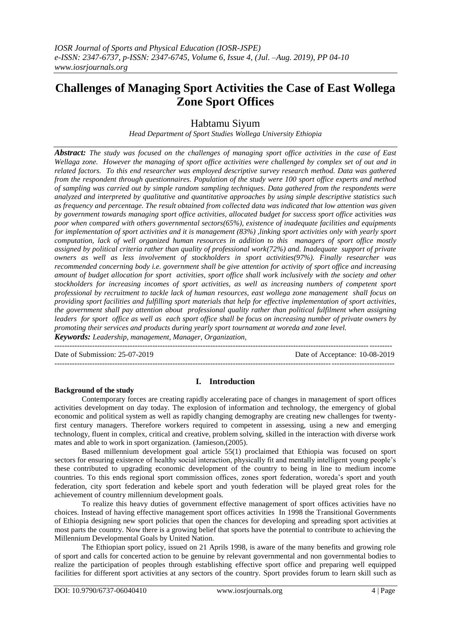# **Challenges of Managing Sport Activities the Case of East Wollega Zone Sport Offices**

# Habtamu Siyum

*Head Department of Sport Studies Wollega University Ethiopia*

*Abstract: The study was focused on the challenges of managing sport office activities in the case of East Wellaga zone. However the managing of sport office activities were challenged by complex set of out and in related factors. To this end researcher was employed descriptive survey research method. Data was gathered from the respondent through questionnaires. Population of the study were 100 sport office experts and method of sampling was carried out by simple random sampling techniques. Data gathered from the respondents were analyzed and interpreted by qualitative and quantitative approaches by using simple descriptive statistics such as frequency and percentage. The result obtained from collected data was indicated that low attention was given by government towards managing sport office activities, allocated budget for success sport office* activities *was poor when compared with others governmental sectors(65%), existence of inadequate facilities and equipments for implementation of sport activities and it is management (83%) ,linking sport activities only with yearly sport computation, lack of well organized human resources in addition to this managers of sport office mostly assigned by political criteria rather than quality of professional work(72%) and. Inadequate support of private owners as well as less involvement of stockholders in sport activities(97%). Finally researcher was recommended concerning body i.e. government shall be give attention for activity of sport office and increasing amount of budget allocation for sport activities, sport office shall work inclusively with the society and other stockholders for increasing incomes of sport activities, as well as increasing numbers of competent sport professional by recruitment to tackle lack of human resources, east wollega zone management shall focus on providing sport facilities and fulfilling sport materials that help for effective implementation of sport activities, the government shall pay attention about professional quality rather than political fulfilment when assigning leaders for sport office as well as each sport office shall be focus on increasing number of private owners by promoting their services and products during yearly sport tournament at woreda and zone level.*

*Keywords: Leadership, management, Manager, Organization,* 

Date of Submission: 25-07-2019 Date of Acceptance: 10-08-2019

---------------------------------------------------------------------------------------------------------------------------------------

--------------------------------------------------------------------------------------------------------------------------------------

## **I. Introduction**

## **Background of the study**

Contemporary forces are creating rapidly accelerating pace of changes in management of sport offices activities development on day today. The explosion of information and technology, the emergency of global economic and political system as well as rapidly changing demography are creating new challenges for twentyfirst century managers. Therefore workers required to competent in assessing, using a new and emerging technology, fluent in complex, critical and creative, problem solving, skilled in the interaction with diverse work mates and able to work in sport organization. (Jamieson,(2005).

Based millennium development goal article 55(1) proclaimed that Ethiopia was focused on sport sectors for ensuring existence of healthy social interaction, physically fit and mentally intelligent young people's these contributed to upgrading economic development of the country to being in line to medium income countries. To this ends regional sport commission offices, zones sport federation, woreda's sport and youth federation, city sport federation and kebele sport and youth federation will be played great roles for the achievement of country millennium development goals.

To realize this heavy duties of government effective management of sport offices activities have no choices. Instead of having effective management sport offices activities In 1998 the Transitional Governments of Ethiopia designing new sport policies that open the chances for developing and spreading sport activities at most parts the country. Now there is a growing belief that sports have the potential to contribute to achieving the Millennium Developmental Goals by United Nation.

The Ethiopian sport policy, issued on 21 Aprils 1998, is aware of the many benefits and growing role of sport and calls for concerted action to be genuine by relevant governmental and non governmental bodies to realize the participation of peoples through establishing effective sport office and preparing well equipped facilities for different sport activities at any sectors of the country. Sport provides forum to learn skill such as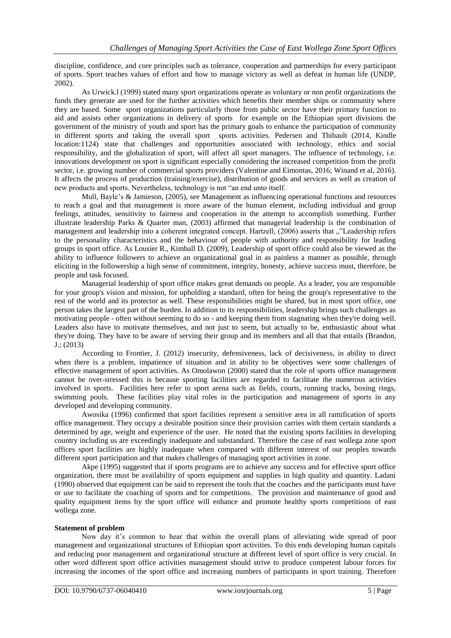discipline, confidence, and core principles such as tolerance, cooperation and partnerships for every participant of sports. Sport teaches values of effort and how to manage victory as well as defeat in human life (UNDP, 2002).

As Urwick.l (1999) stated many sport organizations operate as voluntary or non profit organizations the funds they generate are used for the further activities which benefits their member ships or community where they are based. Some sport organizations particularly those from public sector have their primary function to aid and assists other organizations in delivery of sports for example on the Ethiopian sport divisions the government of the ministry of youth and sport has the primary goals to enhance the participation of community in different sports and taking the overall sport sports activities. Pedersen and Thibault (2014, Kindle location:1124) state that challenges and opportunities associated with technology, ethics and social responsibility, and the globalization of sport, will affect all sport managers. The influence of technology, i.e. innovations development on sport is significant especially considering the increased competition from the profit sector, i.e. growing number of commercial sports providers (Valentine and Eimontas, 2016; Winand et al, 2016). It affects the process of production (training/exercise), distribution of goods and services as well as creation of new products and sports. Nevertheless, technology is not "an end unto itself.

Mull, Bayle's & Jamieson, (2005), see Management as influencing operational functions and resources to reach a goal and that management is more aware of the human element, including individual and group feelings, attitudes, sensitivity to fairness and cooperation in the attempt to accomplish something. Further illustrate leadership Parks & Quarter man, (2003) affirmed that managerial leadership is the combination of management and leadership into a coherent integrated concept. Hartzell, (2006) asserts that "Leadership refers to the personality characteristics and the behaviour of people with authority and responsibility for leading groups in sport office. As Lousier R., Kimball D. (2009), Leadership of sport office could also be viewed as the ability to influence followers to achieve an organizational goal in as painless a manner as possible, through eliciting in the followership a high sense of commitment, integrity, honesty, achieve success must, therefore, be people and task focused.

Managerial leadership of sport office makes great demands on people. As a leader, you are responsible for your group's vision and mission, for upholding a standard, often for being the group's representative to the rest of the world and its protector as well. These responsibilities might be shared, but in most sport office, one person takes the largest part of the burden. In addition to its responsibilities, leadership brings such challenges as motivating people - often without seeming to do so - and keeping them from stagnating when they're doing well. Leaders also have to motivate themselves, and not just to seem, but actually to be, enthusiastic about what they're doing. They have to be aware of serving their group and its members and all that that entails (Brandon, J.; (2013)

According to Frontier, J. (2012) insecurity, defensiveness, lack of decisiveness, in ability to direct when there is a problem, impatience of situation and in ability to be objectives were some challenges of effective management of sport activities. As Omolawon (2000) stated that the role of sports office management cannot be over-stressed this is because sporting facilities are regarded to facilitate the numerous activities involved in sports. Facilities here refer to sport arena such as fields, courts, running tracks, boxing rings, swimming pools. These facilities play vital roles in the participation and management of sports in any developed and developing community.

Awosika (1996) confirmed that sport facilities represent a sensitive area in all ramification of sports office management. They occupy a desirable position since their provision carries with them certain standards a determined by age, weight and experience of the user. He noted that the existing sports facilities in developing country including us are exceedingly inadequate and substandard. Therefore the case of east wollega zone sport offices sport facilities are highly inadequate when compared with different interest of our peoples towards different sport participation and that makes challenges of managing sport activities in zone.

Akpe (1995) suggested that if sports programs are to achieve any success and for effective sport office organization, there must be availability of sports equipment and supplies in high quality and quantity. Ladani (1990) observed that equipment can be said to represent the tools that the coaches and the participants must have or use to facilitate the coaching of sports and for competitions. The provision and maintenance of good and quality equipment items by the sport office will enhance and promote healthy sports competitions of east wollega zone.

## **Statement of problem**

Now day it's common to hear that within the overall plans of alleviating wide spread of poor management and organizational structures of Ethiopian sport activities. To this ends developing human capitals and reducing poor management and organizational structure at different level of sport office is very crucial. In other word different sport office activities management should strive to produce competent labour forces for increasing the incomes of the sport office and increasing numbers of participants in sport training. Therefore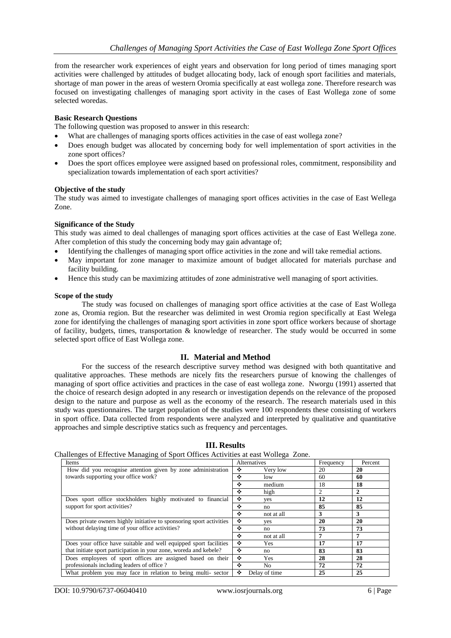from the researcher work experiences of eight years and observation for long period of times managing sport activities were challenged by attitudes of budget allocating body, lack of enough sport facilities and materials, shortage of man power in the areas of western Oromia specifically at east wollega zone. Therefore research was focused on investigating challenges of managing sport activity in the cases of East Wollega zone of some selected woredas.

## **Basic Research Questions**

The following question was proposed to answer in this research:

- What are challenges of managing sports offices activities in the case of east wollega zone?
- Does enough budget was allocated by concerning body for well implementation of sport activities in the zone sport offices?
- Does the sport offices employee were assigned based on professional roles, commitment, responsibility and specialization towards implementation of each sport activities?

## **Objective of the study**

The study was aimed to investigate challenges of managing sport offices activities in the case of East Wellega Zone.

## **Significance of the Study**

This study was aimed to deal challenges of managing sport offices activities at the case of East Wellega zone. After completion of this study the concerning body may gain advantage of;

- Identifying the challenges of managing sport office activities in the zone and will take remedial actions.
- May important for zone manager to maximize amount of budget allocated for materials purchase and facility building.
- Hence this study can be maximizing attitudes of zone administrative well managing of sport activities.

## **Scope of the study**

The study was focused on challenges of managing sport office activities at the case of East Wollega zone as, Oromia region. But the researcher was delimited in west Oromia region specifically at East Welega zone for identifying the challenges of managing sport activities in zone sport office workers because of shortage of facility, budgets, times, transportation & knowledge of researcher. The study would be occurred in some selected sport office of East Wollega zone.

## **II. Material and Method**

For the success of the research descriptive survey method was designed with both quantitative and qualitative approaches. These methods are nicely fits the researchers pursue of knowing the challenges of managing of sport office activities and practices in the case of east wollega zone. Nworgu (1991) asserted that the choice of research design adopted in any research or investigation depends on the relevance of the proposed design to the nature and purpose as well as the economy of the research. The research materials used in this study was questionnaires. The target population of the studies were 100 respondents these consisting of workers in sport office. Data collected from respondents were analyzed and interpreted by qualitative and quantitative approaches and simple descriptive statics such as frequency and percentages.

| - <del>ר</del> - די ס<br>Items                                       | Alternatives |                | Frequency | Percent |
|----------------------------------------------------------------------|--------------|----------------|-----------|---------|
| How did you recognise attention given by zone administration         | ❖            | Very low       | 20        | 20      |
| towards supporting your office work?                                 | ÷            | low            | 60        | 60      |
|                                                                      | ❖            | medium         | 18        | 18      |
|                                                                      | ÷            | high           | 2         | 2       |
| Does sport office stockholders highly motivated to financial         | ❖            | yes            | 12        | 12      |
| support for sport activities?                                        | ÷            | no             | 85        | 85      |
|                                                                      | ÷            | not at all     | 3         | 3       |
| Does private owners highly initiative to sponsoring sport activities | ❖            | yes            | 20        | 20      |
| without delaying time of your office activities?                     | ÷            | no             | 73        | 73      |
|                                                                      | ÷            | not at all     |           | 7       |
| Does your office have suitable and well equipped sport facilities    | ÷            | Yes            | 17        | 17      |
| that initiate sport participation in your zone, woreda and kebele?   | ÷            | no             | 83        | 83      |
| Does employees of sport offices are assigned based on their          | ٠            | Yes            | 28        | 28      |
| professionals including leaders of office?                           | ÷            | N <sub>o</sub> | 72        | 72      |
| What problem you may face in relation to being multi-sector          | ❖            | Delay of time  | 25        | 25      |

## **III. Results**

Challenges of Effective Managing of Sport Offices Activities at east Wollega Zone.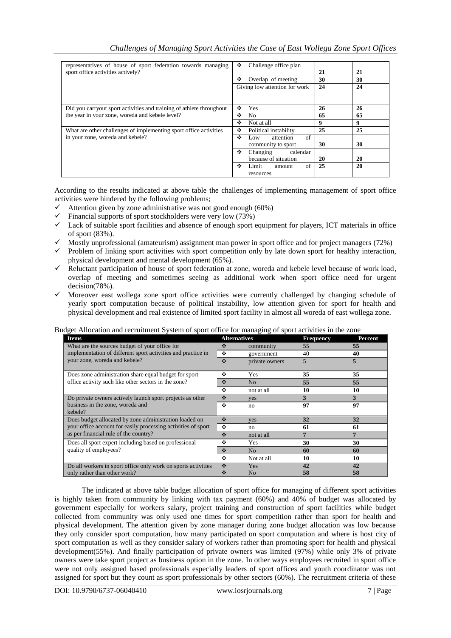| representatives of house of sport federation towards managing<br>sport office activities actively? | ❖<br>Challenge office plan<br>❖<br>Overlap of meeting<br>Giving low attention for work | 21<br>30<br>24 | 21<br>30<br>24 |
|----------------------------------------------------------------------------------------------------|----------------------------------------------------------------------------------------|----------------|----------------|
| Did you carryout sport activities and training of athlete throughout                               | ❖<br><b>Yes</b>                                                                        | 26             | 26             |
| the year in your zone, woreda and kebele level?                                                    | ❖<br>No.                                                                               | 65             | 65             |
|                                                                                                    | ❖<br>Not at all                                                                        | 9              | 9              |
| What are other challenges of implementing sport office activities                                  | ❖<br>Political instability                                                             | 25             | 25             |
| in your zone, woreda and kebele?                                                                   | ÷<br>of<br>attention<br>Low                                                            | 30             | 30             |
|                                                                                                    | community to sport<br>❖                                                                |                |                |
|                                                                                                    | calendar<br>Changing<br>because of situation                                           | 20             | 20             |
|                                                                                                    | ❖<br>of<br>Limit<br>amount                                                             | 25             | 20             |
|                                                                                                    | resources                                                                              |                |                |

According to the results indicated at above table the challenges of implementing management of sport office activities were hindered by the following problems;

- $\checkmark$  Attention given by zone administrative was not good enough (60%)
- $\checkmark$  Financial supports of sport stockholders were very low (73%)
- $\checkmark$  Lack of suitable sport facilities and absence of enough sport equipment for players, ICT materials in office of sport (83%).
- $\checkmark$  Mostly unprofessional (amateurism) assignment man power in sport office and for project managers (72%)
- $\checkmark$  Problem of linking sport activities with sport competition only by late down sport for healthy interaction, physical development and mental development (65%).
- Reluctant participation of house of sport federation at zone, woreda and kebele level because of work load, overlap of meeting and sometimes seeing as additional work when sport office need for urgent decision(78%).
- $\checkmark$  Moreover east wollega zone sport office activities were currently challenged by changing schedule of yearly sport computation because of political instability, low attention given for sport for health and physical development and real existence of limited sport facility in almost all woreda of east wollega zone.

|  | Budget Allocation and recruitment System of sport office for managing of sport activities in the zone |
|--|-------------------------------------------------------------------------------------------------------|
|  |                                                                                                       |
|  |                                                                                                       |
|  |                                                                                                       |

| $a_{\rm g}$ and $a_{\rm H}$ and technicial $b_{\rm g}$ signified to sport of the managing of sport activities in the zone<br><b>Items</b> | <b>Alternatives</b> |                | <b>Frequency</b> | Percent |  |
|-------------------------------------------------------------------------------------------------------------------------------------------|---------------------|----------------|------------------|---------|--|
| What are the sources budget of your office for                                                                                            | ❖                   | community      | 55               | 55      |  |
| implementation of different sport activities and practice in<br>your zone, woreda and kebele?                                             | ❖                   | government     | 40               | 40      |  |
|                                                                                                                                           | ❖                   | private owners | 5                |         |  |
| Does zone administration share equal budget for sport                                                                                     | ٠                   | Yes            | 35               | 35      |  |
| office activity such like other sectors in the zone?                                                                                      | ❖                   | N <sub>o</sub> | 55               | 55      |  |
|                                                                                                                                           | ٠                   | not at all     | 10               | 10      |  |
| Do private owners actively launch sport projects as other                                                                                 | ❖                   | <b>ves</b>     | 3                | 3       |  |
| business in the zone, woreda and<br>kebele?                                                                                               | ٠                   | no             | 97               | 97      |  |
| Does budget allocated by zone administration loaded on                                                                                    | ❖                   | yes            | 32               | 32      |  |
| your office account for easily processing activities of sport<br>as per financial rule of the country?                                    | ❖                   | no             | 61               | 61      |  |
|                                                                                                                                           | ❖                   | not at all     |                  |         |  |
| Does all sport expert including based on professional                                                                                     | ٠                   | Yes            | 30               | 30      |  |
| quality of employees?                                                                                                                     | ❖                   | N <sub>o</sub> | 60               | 60      |  |
|                                                                                                                                           | ٠                   | Not at all     | 10               | 10      |  |
| Do all workers in sport office only work on sports activities                                                                             | ❖                   | Yes            | 42               | 42      |  |
| only rather than other work?                                                                                                              |                     | N <sub>o</sub> | 58               | 58      |  |

The indicated at above table budget allocation of sport office for managing of different sport activities is highly taken from community by linking with tax payment (60%) and 40% of budget was allocated by government especially for workers salary, project training and construction of sport facilities while budget collected from community was only used one times for sport competition rather than sport for health and physical development. The attention given by zone manager during zone budget allocation was low because they only consider sport computation, how many participated on sport computation and where is host city of sport computation as well as they consider salary of workers rather than promoting sport for health and physical development(55%). And finally participation of private owners was limited (97%) while only 3% of private owners were take sport project as business option in the zone. In other ways employees recruited in sport office were not only assigned based professionals especially leaders of sport offices and youth coordinator was not assigned for sport but they count as sport professionals by other sectors (60%). The recruitment criteria of these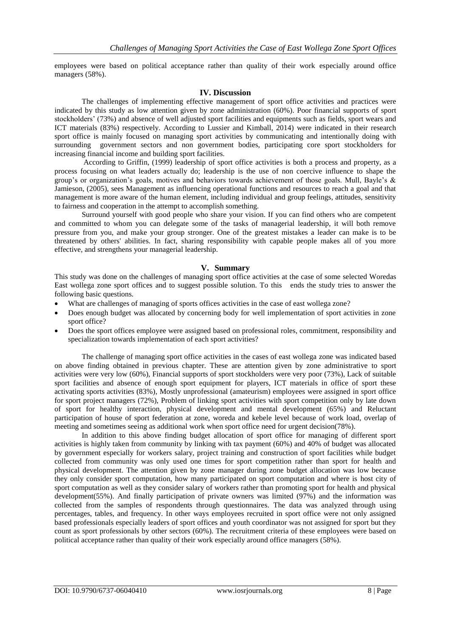employees were based on political acceptance rather than quality of their work especially around office managers (58%).

## **IV. Discussion**

The challenges of implementing effective management of sport office activities and practices were indicated by this study as low attention given by zone administration (60%). Poor financial supports of sport stockholders' (73%) and absence of well adjusted sport facilities and equipments such as fields, sport wears and ICT materials (83%) respectively. According to Lussier and Kimball, 2014) were indicated in their research sport office is mainly focused on managing sport activities by communicating and intentionally doing with surrounding government sectors and non government bodies, participating core sport stockholders for increasing financial income and building sport facilities.

According to Griffin, (1999) leadership of sport office activities is both a process and property, as a process focusing on what leaders actually do; leadership is the use of non coercive influence to shape the group's or organization's goals, motives and behaviors towards achievement of those goals. Mull, Bayle's & Jamieson, (2005), sees Management as influencing operational functions and resources to reach a goal and that management is more aware of the human element, including individual and group feelings, attitudes, sensitivity to fairness and cooperation in the attempt to accomplish something.

Surround yourself with good people who share your vision. If you can find others who are competent and committed to whom you can delegate some of the tasks of managerial leadership, it will both remove pressure from you, and make your group stronger. One of the greatest mistakes a leader can make is to be threatened by others' abilities. In fact, sharing responsibility with capable people makes all of you more effective, and strengthens your managerial leadership.

## **V. Summary**

This study was done on the challenges of managing sport office activities at the case of some selected Woredas East wollega zone sport offices and to suggest possible solution. To this ends the study tries to answer the following basic questions.

- What are challenges of managing of sports offices activities in the case of east wollega zone?
- Does enough budget was allocated by concerning body for well implementation of sport activities in zone sport office?
- Does the sport offices employee were assigned based on professional roles, commitment, responsibility and specialization towards implementation of each sport activities?

The challenge of managing sport office activities in the cases of east wollega zone was indicated based on above finding obtained in previous chapter. These are attention given by zone administrative to sport activities were very low (60%), Financial supports of sport stockholders were very poor (73%), Lack of suitable sport facilities and absence of enough sport equipment for players, ICT materials in office of sport these activating sports activities (83%), Mostly unprofessional (amateurism) employees were assigned in sport office for sport project managers (72%), Problem of linking sport activities with sport competition only by late down of sport for healthy interaction, physical development and mental development (65%) and Reluctant participation of house of sport federation at zone, woreda and kebele level because of work load, overlap of meeting and sometimes seeing as additional work when sport office need for urgent decision(78%).

In addition to this above finding budget allocation of sport office for managing of different sport activities is highly taken from community by linking with tax payment (60%) and 40% of budget was allocated by government especially for workers salary, project training and construction of sport facilities while budget collected from community was only used one times for sport competition rather than sport for health and physical development. The attention given by zone manager during zone budget allocation was low because they only consider sport computation, how many participated on sport computation and where is host city of sport computation as well as they consider salary of workers rather than promoting sport for health and physical development(55%). And finally participation of private owners was limited (97%) and the information was collected from the samples of respondents through questionnaires. The data was analyzed through using percentages, tables, and frequency. In other ways employees recruited in sport office were not only assigned based professionals especially leaders of sport offices and youth coordinator was not assigned for sport but they count as sport professionals by other sectors (60%). The recruitment criteria of these employees were based on political acceptance rather than quality of their work especially around office managers (58%).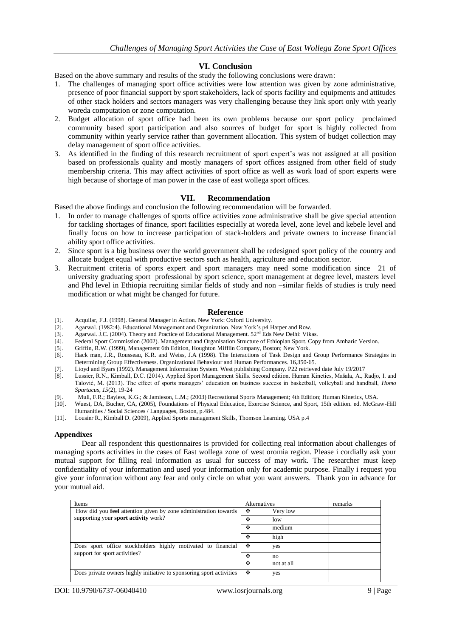## **VI. Conclusion**

Based on the above summary and results of the study the following conclusions were drawn:

- 1. The challenges of managing sport office activities were low attention was given by zone administrative, presence of poor financial support by sport stakeholders, lack of sports facility and equipments and attitudes of other stack holders and sectors managers was very challenging because they link sport only with yearly woreda computation or zone computation.
- 2. Budget allocation of sport office had been its own problems because our sport policy proclaimed community based sport participation and also sources of budget for sport is highly collected from community within yearly service rather than government allocation. This system of budget collection may delay management of sport office activities.
- 3. As identified in the finding of this research recruitment of sport expert's was not assigned at all position based on professionals quality and mostly managers of sport offices assigned from other field of study membership criteria. This may affect activities of sport office as well as work load of sport experts were high because of shortage of man power in the case of east wollega sport offices.

## **VII. Recommendation**

Based the above findings and conclusion the following recommendation will be forwarded.

- 1. In order to manage challenges of sports office activities zone administrative shall be give special attention for tackling shortages of finance, sport facilities especially at woreda level, zone level and kebele level and finally focus on how to increase participation of stack-holders and private owners to increase financial ability sport office activities.
- 2. Since sport is a big business over the world government shall be redesigned sport policy of the country and allocate budget equal with productive sectors such as health, agriculture and education sector.
- 3. Recruitment criteria of sports expert and sport managers may need some modification since 21 of university graduating sport professional by sport science, sport management at degree level, masters level and Phd level in Ethiopia recruiting similar fields of study and non –similar fields of studies is truly need modification or what might be changed for future.

## **Reference**

- [1]. Acquilar, F.J. (1998). General Manager in Action. New York: Oxford University.
- [2]. Agarwal. (1982:4). Educational Management and Organization. New York's p4 Harper and Row.
- [3]. Agarwal. J.C. (2004). Theory and Practice of Educational Management. 52nd Eds New Delhi: Vikas.
- [4]. Federal Sport Commission (2002). Management and Organisation Structure of Ethiopian Sport. Copy from Amharic Version.
- [5]. Griffin, R.W. (1999), Management 6th Edition, Houghton Mifflin Company, Boston; New York.
- [6]. Hack man, J.R., Rousseau, K.R. and Weiss, J.A (1998). The Interactions of Task Design and Group Performance Strategies in Determining Group Effectiveness. Organizational Behaviour and Human Performances. 16,350-65.
- [7]. Lioyd and Byars (1992). Management Information System. West publishing Company. P22 retrieved date July 19/2017
- [8]. Lussier, R.N., Kimball, D.C. (2014). Applied Sport Management Skills. Second edition. Human Kinetics, Mašala, A., Radjo, I. and Talović, M. (2013). The effect of sports managers' education on business success in basketball, volleyball and handball, *Homo Spartacus, 15*(2), 19-24
- [9]. Mull, F.R.; Bayless, K.G.; & Jamieson, L.M.; (2003) Recreational Sports Management; 4th Edition; Human Kinetics, USA.
- [10]. Wuest, DA, Bucher, CA, (2005), Foundations of Physical Education, Exercise Science, and Sport, 15th edition. ed. McGraw-Hill Humanities / Social Sciences / Languages, Boston, p.484.
- [11]. Lousier R., Kimball D. (2009), Applied Sports management Skills, Thomson Learning. USA p.4

#### **Appendixes**

Dear all respondent this questionnaires is provided for collecting real information about challenges of managing sports activities in the cases of East wollega zone of west oromia region. Please i cordially ask your mutual support for filling real information as usual for success of may work. The researcher must keep confidentiality of your information and used your information only for academic purpose. Finally i request you give your information without any fear and only circle on what you want answers. Thank you in advance for your mutual aid.

| Items                                                                                         | Alternatives |            | remarks |
|-----------------------------------------------------------------------------------------------|--------------|------------|---------|
| How did you feel attention given by zone administration towards                               | ❖            | Very low   |         |
| supporting your sport activity work?                                                          | ❖            | low        |         |
|                                                                                               | ❖            | medium     |         |
|                                                                                               | ❖            | high       |         |
| Does sport office stockholders highly motivated to financial<br>support for sport activities? | ❖            | yes        |         |
|                                                                                               | ❖            | no         |         |
|                                                                                               | ❖            | not at all |         |
| Does private owners highly initiative to sponsoring sport activities                          | ❖            | yes        |         |